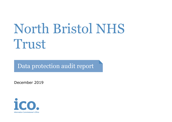# North Bristol NHS Trust

Data protection audit report

December 2019

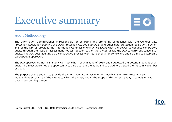# Executive summary



## Audit Methodology

The Information Commissioner is responsible for enforcing and promoting compliance with the General Data Protection Regulation (GDPR), the Data Protection Act 2018 (DPA18) and other data protection legislation. Section 146 of the DPA18 provides the Information Commissioner's Office (ICO) with the power to conduct compulsory audits through the issue of assessment notices. Section 129 of the DPA18 allows the ICO to carry out consensual audits. The ICO sees auditing as a constructive process with real benefits for controllers and so aims to establish a participative approach.

The ICO approached North Bristol NHS Trust (the Trust) in June of 2019 and suggested the potential benefit of an audit. The Trust welcomed the opportunity to participate in the audit and ICO auditors visited the Trust in November of 2019.

The purpose of the audit is to provide the Information Commissioner and North Bristol NHS Trust with an independent assurance of the extent to which the Trust, within the scope of this agreed audit, is complying with data protection legislation.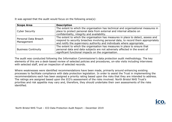It was agreed that the audit would focus on the following area(s):

| <b>Scope Area</b>                  | <b>Description</b>                                                                                                                                                                                                                                |  |
|------------------------------------|---------------------------------------------------------------------------------------------------------------------------------------------------------------------------------------------------------------------------------------------------|--|
| <b>Cyber Security</b>              | The extent to which the organisation has technical and organisational measures in<br>place to protect personal data from external and internal attacks on<br>confidentiality, integrity and availability.                                         |  |
| Personal Data Breach<br>Management | The extent to which the organisation has measures in place to detect, assess and<br>respond to security breaches involving personal data, to record them appropriately<br>and notify the supervisory authority and individuals where appropriate. |  |
| <b>Business Continuity</b>         | The extent to which the organisation has measures in place to ensure that<br>personal data and data subjects are not adversely affected in the event of<br>significant functional impacts on the organisation.                                    |  |

The audit was conducted following the Information Commissioner's data protection audit methodology. The key elements of this are a desk-based review of selected policies and procedures, on-site visits including interviews with selected staff, and an inspection of selected records.

Where weaknesses were identified recommendations have been made, primarily around enhancing existing processes to facilitate compliance with data protection legislation. In order to assist the Trust in implementing the recommendations each has been assigned a priority rating based upon the risks that they are intended to address. The ratings are assigned based upon the ICO's assessment of the risks involved. North Bristol NHS Trust's priorities and risk appetite may vary and, therefore, they should undertake their own assessments of the risks identified.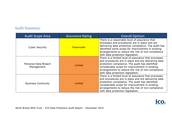# Audit Summary

| <b>Audit Scope Area</b>            | <b>Assurance Rating</b> | <b>Overall Opinion</b>                                                                                                                                                                                                                                                                                     |
|------------------------------------|-------------------------|------------------------------------------------------------------------------------------------------------------------------------------------------------------------------------------------------------------------------------------------------------------------------------------------------------|
| <b>Cyber Security</b>              | Reasonable              | There is a reasonable level of assurance that<br>processes and procedures are in place and are<br>delivering data protection compliance. The audit has<br>identified some scope for improvement in existing<br>arrangements to reduce the risk of non-compliance<br>with data protection legislation.      |
| Personal Data Breach<br>Management | Limited                 | There is a limited level of assurance that processes<br>and procedures are in place and are delivering data<br>protection compliance. The audit has identified<br>considerable scope for improvement in existing<br>arrangements to reduce the risk of non-compliance<br>with data protection legislation. |
| <b>Business Continuity</b>         | Limited                 | There is a limited level of assurance that processes<br>and procedures are in place and are delivering data<br>protection compliance. The audit has identified<br>considerable scope for improvement in existing<br>arrangements to reduce the risk of non-compliance<br>with data protection legislation. |

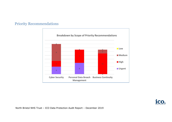# Priority Recommendations



<u>ico</u>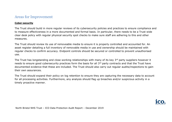## Areas for Improvement

#### **Cyber-security**

The Trust should build in more regular reviews of its cybersecurity policies and practices to ensure compliance and to measure effectiveness in a more documented and formal basis. In particular, there needs to be a Trust wide clear desk policy with regular physical security spot checks to make sure staff are adhering to this and other measures.

The Trust should review its use of removeable media to ensure it is properly controlled and accounted for. An asset register detailing a full inventory of removable media in use and ownership should be maintained with regular checks to confirm accuracy. Endpoint controls should be secured or controlled to prevent unauthorised use.

The Trust has longstanding and close working relationships with many of its key 3<sup>rd</sup> party suppliers however it needs to ensure good cybersecurity practices form the basis for all 3<sup>rd</sup> party contracts and that the Trust have documented evidence that these are included. The Trust should also carry out regular audits/inspections to gain their own assurances.

The Trust should expand their policy on log retention to ensure they are capturing the necessary data to account for all processing activities. Furthermore, any analysis should flag up breaches and/or suspicious activity in a timely proactive manner.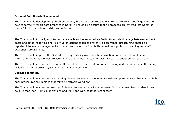#### **Personal Data Breach Management**

The Trust should develop and publish emergency breach procedures and ensure that there is specific guidance on how to correctly report data breaches in Datix. It should also ensure that all breaches are entered into Datix, so that a full picture of breach risk can be formed.

The Trust should formally monitor and analyse breaches reported via Datix, to include time lags between incident dates and actual reporting and follow up on actions taken to prevent re-occurrence. Breach KPIs should be reported into senior management and any trends should inform both annual data protection training and staff awareness programmes.

The Trust should improve the DPOs day to day visibility over breach information and ensure it creates an Information Governance Risk Register where the various types of breach risk can be analysed and assessed.

The Trust should ensure that senior staff undertake specialised data breach training and that general staff training includes the three breach types and not just confidentiality.

#### **Business continuity:**

The Trust should ensure that any missing disaster recovery procedures are written up and ensure that manual fallback procedures are in place that mirror electronic workflows.

The Trust should ensure that testing of disaster recovery plans includes cross-functional exercises, so that it can be sure that (non-) clinical operations and IM&T can work together seamlessly.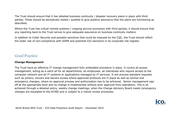The Trust should ensure that it has detailed business continuity / disaster recovery plans in place with third parties. These should be periodically tested / audited to give positive assurance that the plans are functioning as described.

Where the Trust has critical remote systems / ongoing service provisions with third parties, it should ensure that any reporting back to the Trust serves to give adequate assurance on business continuity matters.

In addition to Cyber Security and possible sanctions that could be imposed by the CQC, the Trust should reflect the wider risk of non-compliance with GDPR and potential ICO sanctions in its corporate risk register.

# Good Practice

#### **Change Management**

The Trust have an effective IT change management fully embedded procedure in place. It covers all access management, acting as a catch all for all departments, all employees, all individuals who require access to the computer network and all IT systems or applications managed by IT services. It will process standard requests such as joiners, movers and leavers access where approved protocols are in place as well as normal and emergency changes, where an approval process and authorisation has to be achieved. Senior management sign off at the appropriate level and no change is implemented without prior approval from operations. This is all achieved through a detailed policy, weekly change meetings, when the Change Advisory Board meets (emergency changes are escalated to the ECAB) and is subject to a robust review processes.